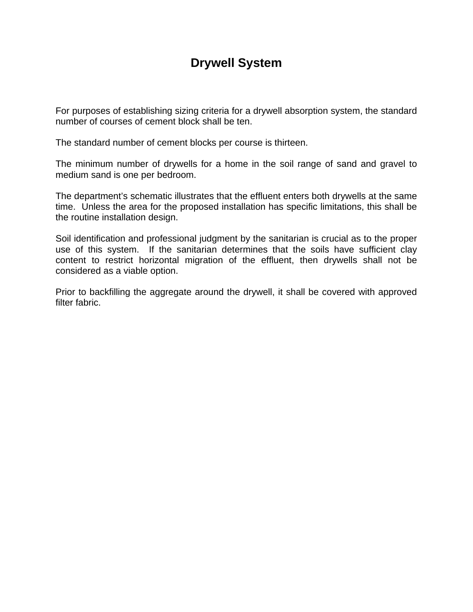## **Drywell System**

For purposes of establishing sizing criteria for a drywell absorption system, the standard number of courses of cement block shall be ten.

The standard number of cement blocks per course is thirteen.

The minimum number of drywells for a home in the soil range of sand and gravel to medium sand is one per bedroom.

The department's schematic illustrates that the effluent enters both drywells at the same time. Unless the area for the proposed installation has specific limitations, this shall be the routine installation design.

Soil identification and professional judgment by the sanitarian is crucial as to the proper use of this system. If the sanitarian determines that the soils have sufficient clay content to restrict horizontal migration of the effluent, then drywells shall not be considered as a viable option.

Prior to backfilling the aggregate around the drywell, it shall be covered with approved filter fabric.